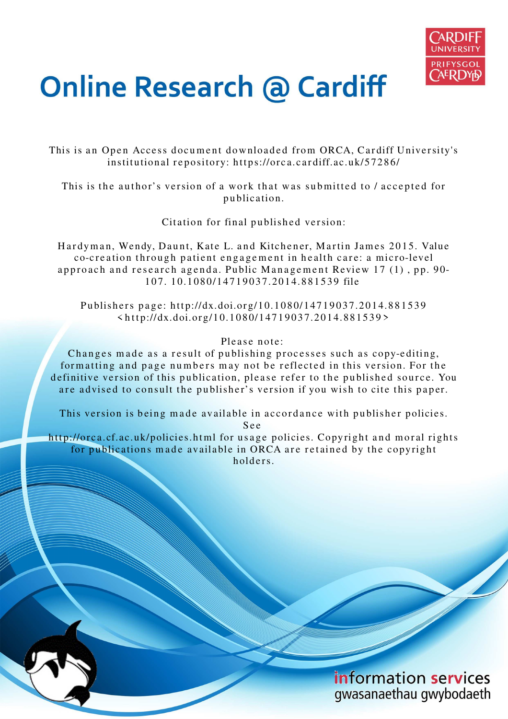

# **Online Research @ Cardiff**

This is an Open Access document downloaded from ORCA, Cardiff University's institutional repository: https://orca.cardiff.ac.uk/57286/

This is the author's version of a work that was submitted to / accepted for p u blication.

Citation for final published version:

Hardyman, Wendy, Daunt, Kate L. and Kitchener, Martin James 2015. Value co-creation through patient engagement in health care: a micro-level approach and research agenda. Public Management Review 17 (1), pp. 90-1 0 7. 1 0.1 08 0/14 7 1 9 0 3 7.20 1 4.8 8 1 5 3 9 file

Publishers page: http://dx.doi.org/10.1080/14719037.2014.881539  $\langle$ http://dx.doi.org/10.1080/14719037.2014.881539>

## Please note:

Changes made as a result of publishing processes such as copy-editing, formatting and page numbers may not be reflected in this version. For the definitive version of this publication, please refer to the published source. You are advised to consult the publisher's version if you wish to cite this paper.

This version is being made available in accordance with publisher policies. S e e

http://orca.cf.ac.uk/policies.html for usage policies. Copyright and moral rights for publications made available in ORCA are retained by the copyright holders



information services gwasanaethau gwybodaeth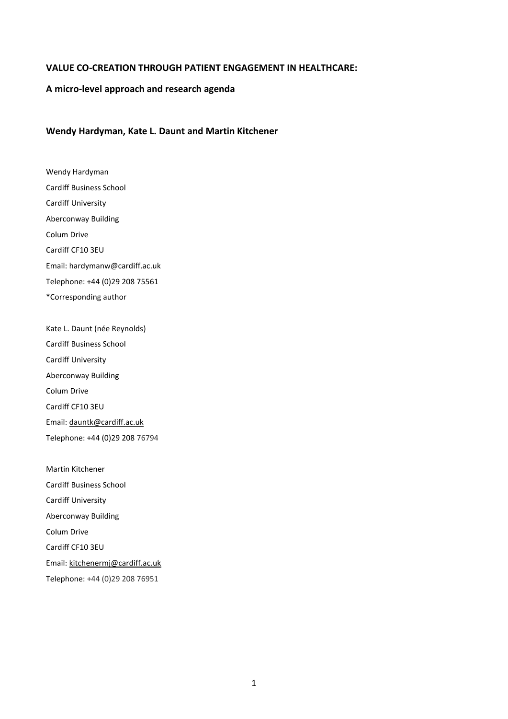#### **VALUE CO-CREATION THROUGH PATIENT ENGAGEMENT IN HEALTHCARE:**

### **A micro-level approach and research agenda**

#### **Wendy Hardyman, Kate L. Daunt and Martin Kitchener**

Wendy Hardyman Cardiff Business School Cardiff University Aberconway Building Colum Drive Cardiff CF10 3EU Email: [hardymanw@cardiff.ac.uk](mailto:hardymanw@cardiff.ac.uk)  Telephone: +44 (0)29 208 75561 \*Corresponding author

Kate L. Daunt (née Reynolds) Cardiff Business School Cardiff University Aberconway Building Colum Drive Cardiff CF10 3EU Email: [dauntk@cardiff.ac.uk](mailto:dauntk@cardiff.ac.uk)  Telephone: +44 (0)29 208 76794

Martin Kitchener Cardiff Business School Cardiff University Aberconway Building Colum Drive Cardiff CF10 3EU Email: [kitchenermj@cardiff.ac.uk](mailto:kitchenermj@cardiff.ac.uk) Telephone: +44 (0)29 208 76951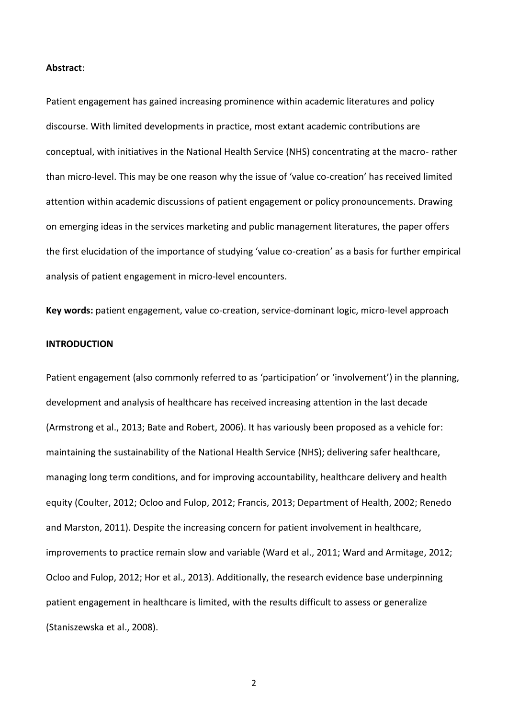#### **Abstract**:

Patient engagement has gained increasing prominence within academic literatures and policy discourse. With limited developments in practice, most extant academic contributions are conceptual, with initiatives in the National Health Service (NHS) concentrating at the macro- rather than micro-level. This may be one reason why the issue of 'value co-creation' has received limited attention within academic discussions of patient engagement or policy pronouncements. Drawing on emerging ideas in the services marketing and public management literatures, the paper offers the first elucidation of the importance of studying 'value co-creation' as a basis for further empirical analysis of patient engagement in micro-level encounters.

**Key words:** patient engagement, value co-creation, service-dominant logic, micro-level approach

## **INTRODUCTION**

Patient engagement (also commonly referred to as 'participation' or 'involvement') in the planning, development and analysis of healthcare has received increasing attention in the last decade (Armstrong et al., 2013; Bate and Robert, 2006). It has variously been proposed as a vehicle for: maintaining the sustainability of the National Health Service (NHS); delivering safer healthcare, managing long term conditions, and for improving accountability, healthcare delivery and health equity (Coulter, 2012; Ocloo and Fulop, 2012; Francis, 2013; Department of Health, 2002; Renedo and Marston, 2011). Despite the increasing concern for patient involvement in healthcare, improvements to practice remain slow and variable (Ward et al., 2011; Ward and Armitage, 2012; Ocloo and Fulop, 2012; Hor et al., 2013). Additionally, the research evidence base underpinning patient engagement in healthcare is limited, with the results difficult to assess or generalize (Staniszewska et al., 2008).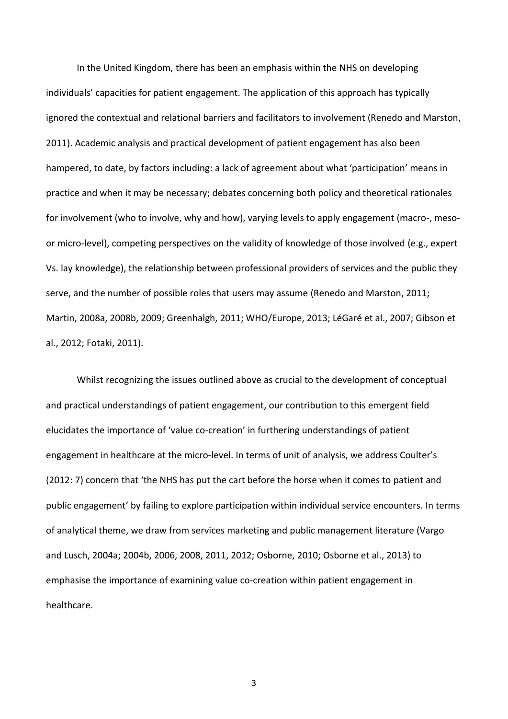In the United Kingdom, there has been an emphasis within the NHS on developing individuals' capacities for patient engagement. The application of this approach has typically ignored the contextual and relational barriers and facilitators to involvement (Renedo and Marston, 2011). Academic analysis and practical development of patient engagement has also been hampered, to date, by factors including: a lack of agreement about what 'participation' means in practice and when it may be necessary; debates concerning both policy and theoretical rationales for involvement (who to involve, why and how), varying levels to apply engagement (macro-, mesoor micro-level), competing perspectives on the validity of knowledge of those involved (e.g., expert Vs. lay knowledge), the relationship between professional providers of services and the public they serve, and the number of possible roles that users may assume (Renedo and Marston, 2011; Martin, 2008a, 2008b, 2009; Greenhalgh, 2011; WHO/Europe, 2013; LéGaré et al., 2007; Gibson et al., 2012; Fotaki, 2011).

Whilst recognizing the issues outlined above as crucial to the development of conceptual and practical understandings of patient engagement, our contribution to this emergent field elucidates the importance of 'value co-creation' in furthering understandings of patient engagement in healthcare at the micro-level. In terms of unit of analysis, we address Coulter's (2012: 7) concern that 'the NHS has put the cart before the horse when it comes to patient and public engagement' by failing to explore participation within individual service encounters. In terms of analytical theme, we draw from services marketing and public management literature (Vargo and Lusch, 2004a; 2004b, 2006, 2008, 2011, 2012; Osborne, 2010; Osborne et al., 2013) to emphasise the importance of examining value co-creation within patient engagement in healthcare.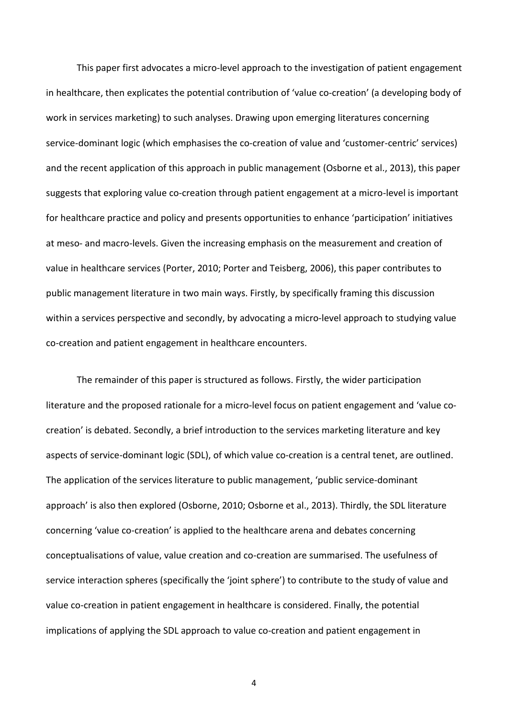This paper first advocates a micro-level approach to the investigation of patient engagement in healthcare, then explicates the potential contribution of 'value co-creation' (a developing body of work in services marketing) to such analyses. Drawing upon emerging literatures concerning service-dominant logic (which emphasises the co-creation of value and 'customer-centric' services) and the recent application of this approach in public management (Osborne et al., 2013), this paper suggests that exploring value co-creation through patient engagement at a micro-level is important for healthcare practice and policy and presents opportunities to enhance 'participation' initiatives at meso- and macro-levels. Given the increasing emphasis on the measurement and creation of value in healthcare services (Porter, 2010; Porter and Teisberg, 2006), this paper contributes to public management literature in two main ways. Firstly, by specifically framing this discussion within a services perspective and secondly, by advocating a micro-level approach to studying value co-creation and patient engagement in healthcare encounters.

The remainder of this paper is structured as follows. Firstly, the wider participation literature and the proposed rationale for a micro-level focus on patient engagement and 'value cocreation' is debated. Secondly, a brief introduction to the services marketing literature and key aspects of service-dominant logic (SDL), of which value co-creation is a central tenet, are outlined. The application of the services literature to public management, 'public service-dominant approach' is also then explored (Osborne, 2010; Osborne et al., 2013). Thirdly, the SDL literature concerning 'value co-creation' is applied to the healthcare arena and debates concerning conceptualisations of value, value creation and co-creation are summarised. The usefulness of service interaction spheres (specifically the 'joint sphere') to contribute to the study of value and value co-creation in patient engagement in healthcare is considered. Finally, the potential implications of applying the SDL approach to value co-creation and patient engagement in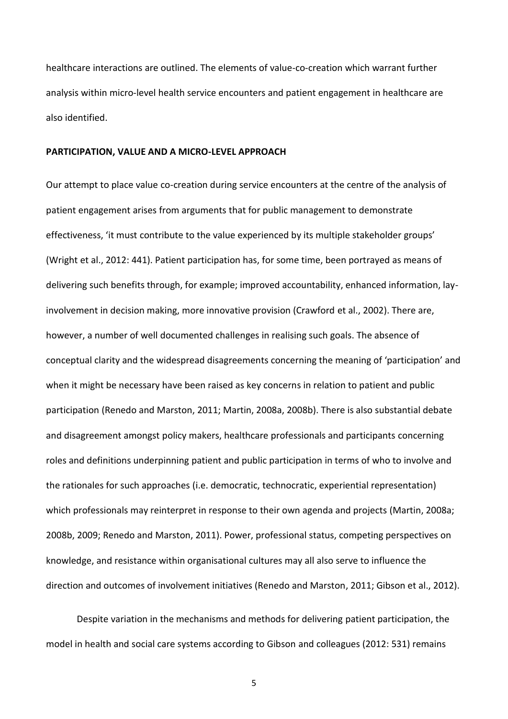healthcare interactions are outlined. The elements of value-co-creation which warrant further analysis within micro-level health service encounters and patient engagement in healthcare are also identified.

#### **PARTICIPATION, VALUE AND A MICRO-LEVEL APPROACH**

Our attempt to place value co-creation during service encounters at the centre of the analysis of patient engagement arises from arguments that for public management to demonstrate effectiveness, 'it must contribute to the value experienced by its multiple stakeholder groups' (Wright et al., 2012: 441). Patient participation has, for some time, been portrayed as means of delivering such benefits through, for example; improved accountability, enhanced information, layinvolvement in decision making, more innovative provision (Crawford et al., 2002). There are, however, a number of well documented challenges in realising such goals. The absence of conceptual clarity and the widespread disagreements concerning the meaning of 'participation' and when it might be necessary have been raised as key concerns in relation to patient and public participation (Renedo and Marston, 2011; Martin, 2008a, 2008b). There is also substantial debate and disagreement amongst policy makers, healthcare professionals and participants concerning roles and definitions underpinning patient and public participation in terms of who to involve and the rationales for such approaches (i.e. democratic, technocratic, experiential representation) which professionals may reinterpret in response to their own agenda and projects (Martin, 2008a; 2008b, 2009; Renedo and Marston, 2011). Power, professional status, competing perspectives on knowledge, and resistance within organisational cultures may all also serve to influence the direction and outcomes of involvement initiatives (Renedo and Marston, 2011; Gibson et al., 2012).

Despite variation in the mechanisms and methods for delivering patient participation, the model in health and social care systems according to Gibson and colleagues (2012: 531) remains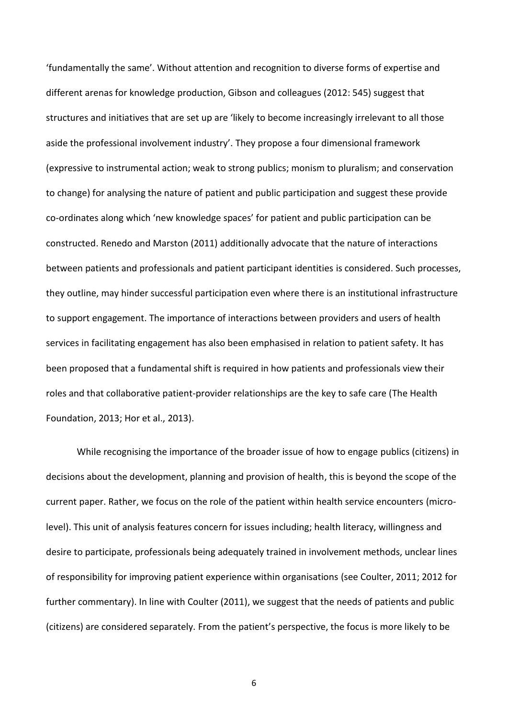'fundamentally the same'. Without attention and recognition to diverse forms of expertise and different arenas for knowledge production, Gibson and colleagues (2012: 545) suggest that structures and initiatives that are set up are 'likely to become increasingly irrelevant to all those aside the professional involvement industry'. They propose a four dimensional framework (expressive to instrumental action; weak to strong publics; monism to pluralism; and conservation to change) for analysing the nature of patient and public participation and suggest these provide co-ordinates along which 'new knowledge spaces' for patient and public participation can be constructed. Renedo and Marston (2011) additionally advocate that the nature of interactions between patients and professionals and patient participant identities is considered. Such processes, they outline, may hinder successful participation even where there is an institutional infrastructure to support engagement. The importance of interactions between providers and users of health services in facilitating engagement has also been emphasised in relation to patient safety. It has been proposed that a fundamental shift is required in how patients and professionals view their roles and that collaborative patient-provider relationships are the key to safe care (The Health Foundation, 2013; Hor et al., 2013).

While recognising the importance of the broader issue of how to engage publics (citizens) in decisions about the development, planning and provision of health, this is beyond the scope of the current paper. Rather, we focus on the role of the patient within health service encounters (microlevel). This unit of analysis features concern for issues including; health literacy, willingness and desire to participate, professionals being adequately trained in involvement methods, unclear lines of responsibility for improving patient experience within organisations (see Coulter, 2011; 2012 for further commentary). In line with Coulter (2011), we suggest that the needs of patients and public (citizens) are considered separately. From the patient's perspective, the focus is more likely to be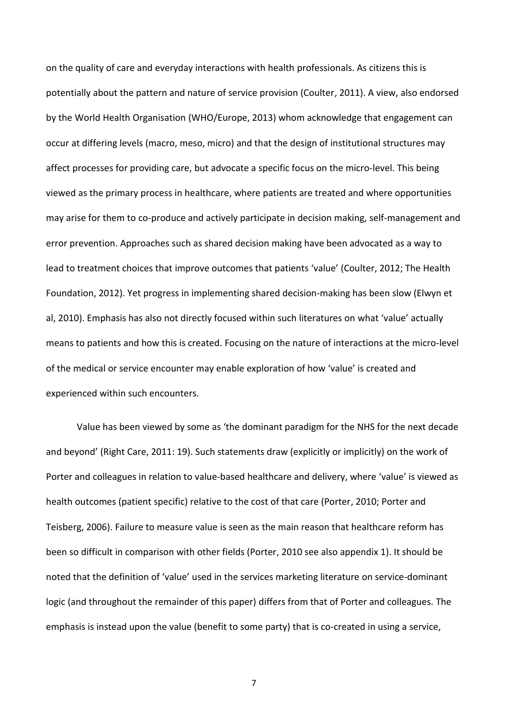on the quality of care and everyday interactions with health professionals. As citizens this is potentially about the pattern and nature of service provision (Coulter, 2011). A view, also endorsed by the World Health Organisation (WHO/Europe, 2013) whom acknowledge that engagement can occur at differing levels (macro, meso, micro) and that the design of institutional structures may affect processes for providing care, but advocate a specific focus on the micro-level. This being viewed as the primary process in healthcare, where patients are treated and where opportunities may arise for them to co-produce and actively participate in decision making, self-management and error prevention. Approaches such as shared decision making have been advocated as a way to lead to treatment choices that improve outcomes that patients 'value' (Coulter, 2012; The Health Foundation, 2012). Yet progress in implementing shared decision-making has been slow (Elwyn et al, 2010). Emphasis has also not directly focused within such literatures on what 'value' actually means to patients and how this is created. Focusing on the nature of interactions at the micro-level of the medical or service encounter may enable exploration of how 'value' is created and experienced within such encounters.

Value has been viewed by some as 'the dominant paradigm for the NHS for the next decade and beyond' (Right Care, 2011: 19). Such statements draw (explicitly or implicitly) on the work of Porter and colleagues in relation to value-based healthcare and delivery, where 'value' is viewed as health outcomes (patient specific) relative to the cost of that care (Porter, 2010; Porter and Teisberg, 2006). Failure to measure value is seen as the main reason that healthcare reform has been so difficult in comparison with other fields (Porter, 2010 see also appendix 1). It should be noted that the definition of 'value' used in the services marketing literature on service-dominant logic (and throughout the remainder of this paper) differs from that of Porter and colleagues. The emphasis is instead upon the value (benefit to some party) that is co-created in using a service,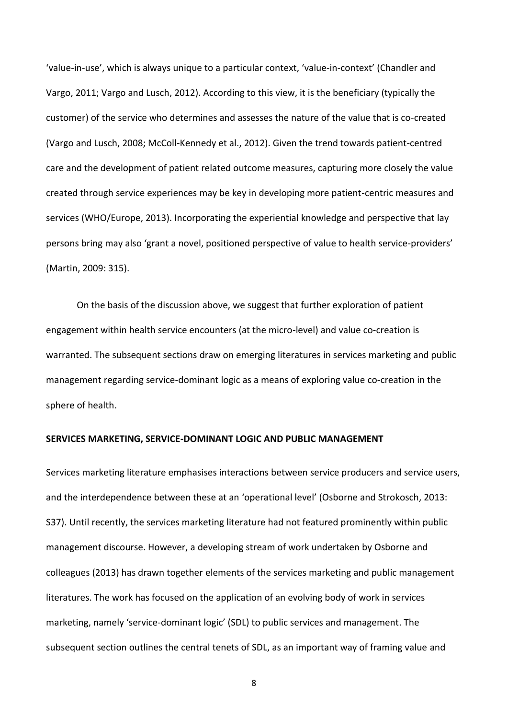'value-in-use', which is always unique to a particular context, 'value-in-context' (Chandler and Vargo, 2011; Vargo and Lusch, 2012). According to this view, it is the beneficiary (typically the customer) of the service who determines and assesses the nature of the value that is co-created (Vargo and Lusch, 2008; McColl-Kennedy et al., 2012). Given the trend towards patient-centred care and the development of patient related outcome measures, capturing more closely the value created through service experiences may be key in developing more patient-centric measures and services (WHO/Europe, 2013). Incorporating the experiential knowledge and perspective that lay persons bring may also 'grant a novel, positioned perspective of value to health service-providers' (Martin, 2009: 315).

On the basis of the discussion above, we suggest that further exploration of patient engagement within health service encounters (at the micro-level) and value co-creation is warranted. The subsequent sections draw on emerging literatures in services marketing and public management regarding service-dominant logic as a means of exploring value co-creation in the sphere of health.

#### **SERVICES MARKETING, SERVICE-DOMINANT LOGIC AND PUBLIC MANAGEMENT**

Services marketing literature emphasises interactions between service producers and service users, and the interdependence between these at an 'operational level' (Osborne and Strokosch, 2013: S37). Until recently, the services marketing literature had not featured prominently within public management discourse. However, a developing stream of work undertaken by Osborne and colleagues (2013) has drawn together elements of the services marketing and public management literatures. The work has focused on the application of an evolving body of work in services marketing, namely 'service-dominant logic' (SDL) to public services and management. The subsequent section outlines the central tenets of SDL, as an important way of framing value and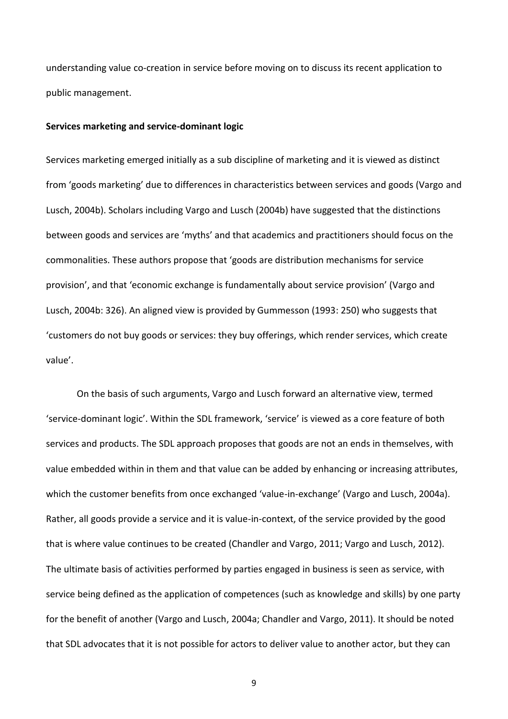understanding value co-creation in service before moving on to discuss its recent application to public management.

#### **Services marketing and service-dominant logic**

Services marketing emerged initially as a sub discipline of marketing and it is viewed as distinct from 'goods marketing' due to differences in characteristics between services and goods (Vargo and Lusch, 2004b). Scholars including Vargo and Lusch (2004b) have suggested that the distinctions between goods and services are 'myths' and that academics and practitioners should focus on the commonalities. These authors propose that 'goods are distribution mechanisms for service provision', and that 'economic exchange is fundamentally about service provision' (Vargo and Lusch, 2004b: 326). An aligned view is provided by Gummesson (1993: 250) who suggests that 'customers do not buy goods or services: they buy offerings, which render services, which create value'.

On the basis of such arguments, Vargo and Lusch forward an alternative view, termed 'service-dominant logic'. Within the SDL framework, 'service' is viewed as a core feature of both services and products. The SDL approach proposes that goods are not an ends in themselves, with value embedded within in them and that value can be added by enhancing or increasing attributes, which the customer benefits from once exchanged 'value-in-exchange' (Vargo and Lusch, 2004a). Rather, all goods provide a service and it is value-in-context, of the service provided by the good that is where value continues to be created (Chandler and Vargo, 2011; Vargo and Lusch, 2012). The ultimate basis of activities performed by parties engaged in business is seen as service, with service being defined as the application of competences (such as knowledge and skills) by one party for the benefit of another (Vargo and Lusch, 2004a; Chandler and Vargo, 2011). It should be noted that SDL advocates that it is not possible for actors to deliver value to another actor, but they can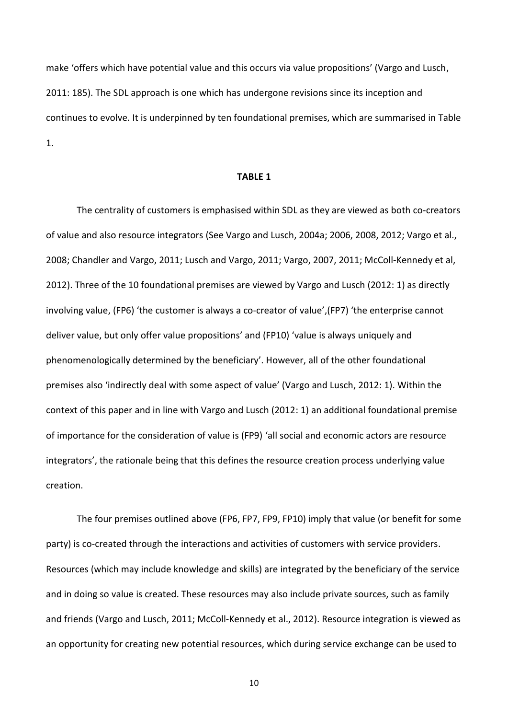make 'offers which have potential value and this occurs via value propositions' (Vargo and Lusch, 2011: 185). The SDL approach is one which has undergone revisions since its inception and continues to evolve. It is underpinned by ten foundational premises, which are summarised in Table 1.

#### **TABLE 1**

The centrality of customers is emphasised within SDL as they are viewed as both co-creators of value and also resource integrators (See Vargo and Lusch, 2004a; 2006, 2008, 2012; Vargo et al., 2008; Chandler and Vargo, 2011; Lusch and Vargo, 2011; Vargo, 2007, 2011; McColl-Kennedy et al, 2012). Three of the 10 foundational premises are viewed by Vargo and Lusch (2012: 1) as directly involving value, (FP6) 'the customer is always a co-creator of value',(FP7) 'the enterprise cannot deliver value, but only offer value propositions' and (FP10) 'value is always uniquely and phenomenologically determined by the beneficiary'. However, all of the other foundational premises also 'indirectly deal with some aspect of value' (Vargo and Lusch, 2012: 1). Within the context of this paper and in line with Vargo and Lusch (2012: 1) an additional foundational premise of importance for the consideration of value is (FP9) 'all social and economic actors are resource integrators', the rationale being that this defines the resource creation process underlying value creation.

The four premises outlined above (FP6, FP7, FP9, FP10) imply that value (or benefit for some party) is co-created through the interactions and activities of customers with service providers. Resources (which may include knowledge and skills) are integrated by the beneficiary of the service and in doing so value is created. These resources may also include private sources, such as family and friends (Vargo and Lusch, 2011; McColl-Kennedy et al., 2012). Resource integration is viewed as an opportunity for creating new potential resources, which during service exchange can be used to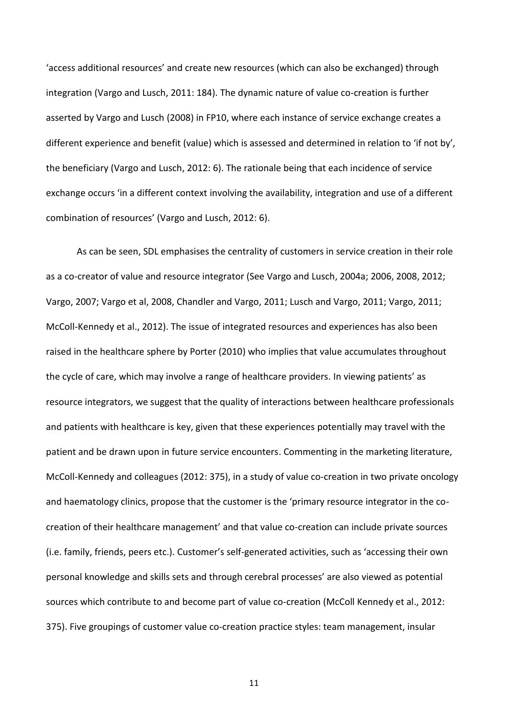'access additional resources' and create new resources (which can also be exchanged) through integration (Vargo and Lusch, 2011: 184). The dynamic nature of value co-creation is further asserted by Vargo and Lusch (2008) in FP10, where each instance of service exchange creates a different experience and benefit (value) which is assessed and determined in relation to 'if not by', the beneficiary (Vargo and Lusch, 2012: 6). The rationale being that each incidence of service exchange occurs 'in a different context involving the availability, integration and use of a different combination of resources' (Vargo and Lusch, 2012: 6).

As can be seen, SDL emphasises the centrality of customers in service creation in their role as a co-creator of value and resource integrator (See Vargo and Lusch, 2004a; 2006, 2008, 2012; Vargo, 2007; Vargo et al, 2008, Chandler and Vargo, 2011; Lusch and Vargo, 2011; Vargo, 2011; McColl-Kennedy et al., 2012). The issue of integrated resources and experiences has also been raised in the healthcare sphere by Porter (2010) who implies that value accumulates throughout the cycle of care, which may involve a range of healthcare providers. In viewing patients' as resource integrators, we suggest that the quality of interactions between healthcare professionals and patients with healthcare is key, given that these experiences potentially may travel with the patient and be drawn upon in future service encounters. Commenting in the marketing literature, McColl-Kennedy and colleagues (2012: 375), in a study of value co-creation in two private oncology and haematology clinics, propose that the customer is the 'primary resource integrator in the cocreation of their healthcare management' and that value co-creation can include private sources (i.e. family, friends, peers etc.). Customer's self-generated activities, such as 'accessing their own personal knowledge and skills sets and through cerebral processes' are also viewed as potential sources which contribute to and become part of value co-creation (McColl Kennedy et al., 2012: 375). Five groupings of customer value co-creation practice styles: team management, insular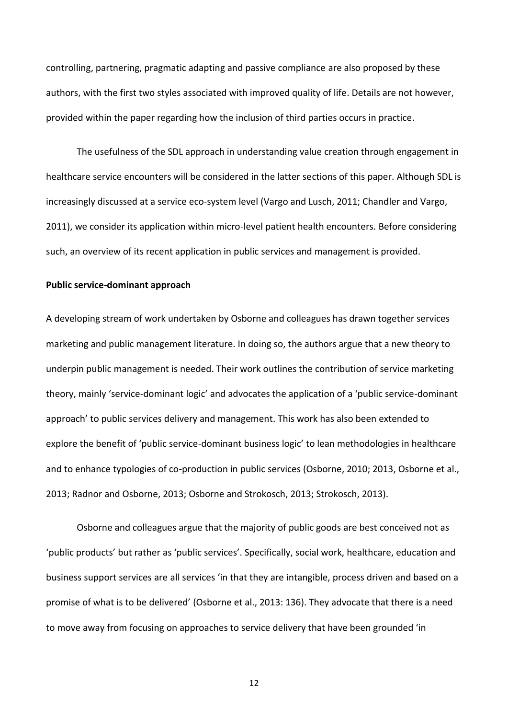controlling, partnering, pragmatic adapting and passive compliance are also proposed by these authors, with the first two styles associated with improved quality of life. Details are not however, provided within the paper regarding how the inclusion of third parties occurs in practice.

The usefulness of the SDL approach in understanding value creation through engagement in healthcare service encounters will be considered in the latter sections of this paper. Although SDL is increasingly discussed at a service eco-system level (Vargo and Lusch, 2011; Chandler and Vargo, 2011), we consider its application within micro-level patient health encounters. Before considering such, an overview of its recent application in public services and management is provided.

#### **Public service-dominant approach**

A developing stream of work undertaken by Osborne and colleagues has drawn together services marketing and public management literature. In doing so, the authors argue that a new theory to underpin public management is needed. Their work outlines the contribution of service marketing theory, mainly 'service-dominant logic' and advocates the application of a 'public service-dominant approach' to public services delivery and management. This work has also been extended to explore the benefit of 'public service-dominant business logic' to lean methodologies in healthcare and to enhance typologies of co-production in public services (Osborne, 2010; 2013, Osborne et al., 2013; Radnor and Osborne, 2013; Osborne and Strokosch, 2013; Strokosch, 2013).

Osborne and colleagues argue that the majority of public goods are best conceived not as 'public products' but rather as 'public services'. Specifically, social work, healthcare, education and business support services are all services 'in that they are intangible, process driven and based on a promise of what is to be delivered' (Osborne et al., 2013: 136). They advocate that there is a need to move away from focusing on approaches to service delivery that have been grounded 'in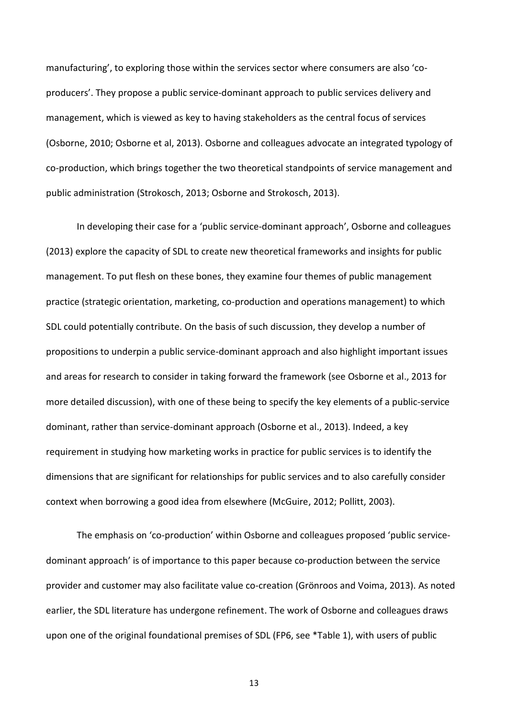manufacturing', to exploring those within the services sector where consumers are also 'coproducers'. They propose a public service-dominant approach to public services delivery and management, which is viewed as key to having stakeholders as the central focus of services (Osborne, 2010; Osborne et al, 2013). Osborne and colleagues advocate an integrated typology of co-production, which brings together the two theoretical standpoints of service management and public administration (Strokosch, 2013; Osborne and Strokosch, 2013).

In developing their case for a 'public service-dominant approach', Osborne and colleagues (2013) explore the capacity of SDL to create new theoretical frameworks and insights for public management. To put flesh on these bones, they examine four themes of public management practice (strategic orientation, marketing, co-production and operations management) to which SDL could potentially contribute. On the basis of such discussion, they develop a number of propositions to underpin a public service-dominant approach and also highlight important issues and areas for research to consider in taking forward the framework (see Osborne et al., 2013 for more detailed discussion), with one of these being to specify the key elements of a public-service dominant, rather than service-dominant approach (Osborne et al., 2013). Indeed, a key requirement in studying how marketing works in practice for public services is to identify the dimensions that are significant for relationships for public services and to also carefully consider context when borrowing a good idea from elsewhere (McGuire, 2012; Pollitt, 2003).

The emphasis on 'co-production' within Osborne and colleagues proposed 'public servicedominant approach' is of importance to this paper because co-production between the service provider and customer may also facilitate value co-creation (Grönroos and Voima, 2013). As noted earlier, the SDL literature has undergone refinement. The work of Osborne and colleagues draws upon one of the original foundational premises of SDL (FP6, see \*Table 1), with users of public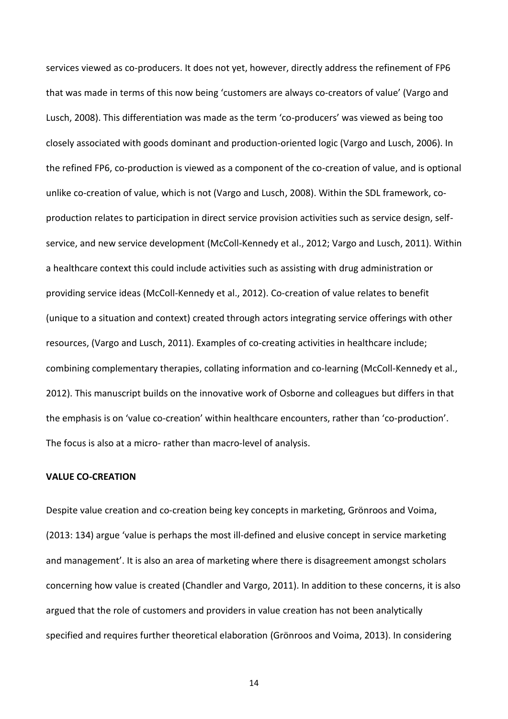services viewed as co-producers. It does not yet, however, directly address the refinement of FP6 that was made in terms of this now being 'customers are always co-creators of value' (Vargo and Lusch, 2008). This differentiation was made as the term 'co-producers' was viewed as being too closely associated with goods dominant and production-oriented logic (Vargo and Lusch, 2006). In the refined FP6, co-production is viewed as a component of the co-creation of value, and is optional unlike co-creation of value, which is not (Vargo and Lusch, 2008). Within the SDL framework, coproduction relates to participation in direct service provision activities such as service design, selfservice, and new service development (McColl-Kennedy et al., 2012; Vargo and Lusch, 2011). Within a healthcare context this could include activities such as assisting with drug administration or providing service ideas (McColl-Kennedy et al., 2012). Co-creation of value relates to benefit (unique to a situation and context) created through actors integrating service offerings with other resources, (Vargo and Lusch, 2011). Examples of co-creating activities in healthcare include; combining complementary therapies, collating information and co-learning (McColl-Kennedy et al., 2012). This manuscript builds on the innovative work of Osborne and colleagues but differs in that the emphasis is on 'value co-creation' within healthcare encounters, rather than 'co-production'. The focus is also at a micro- rather than macro-level of analysis.

#### **VALUE CO-CREATION**

Despite value creation and co-creation being key concepts in marketing, Grönroos and Voima, (2013: 134) argue 'value is perhaps the most ill-defined and elusive concept in service marketing and management'. It is also an area of marketing where there is disagreement amongst scholars concerning how value is created (Chandler and Vargo, 2011). In addition to these concerns, it is also argued that the role of customers and providers in value creation has not been analytically specified and requires further theoretical elaboration (Grönroos and Voima, 2013). In considering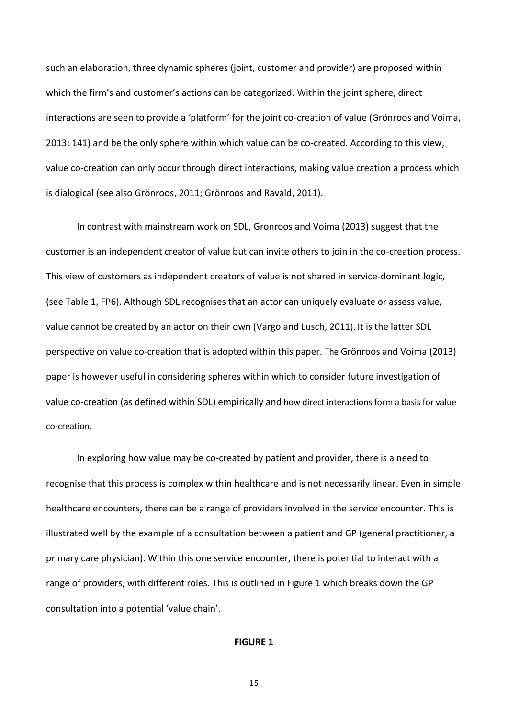such an elaboration, three dynamic spheres (joint, customer and provider) are proposed within which the firm's and customer's actions can be categorized. Within the joint sphere, direct interactions are seen to provide a 'platform' for the joint co-creation of value (Grönroos and Voima, 2013: 141) and be the only sphere within which value can be co-created. According to this view, value co-creation can only occur through direct interactions, making value creation a process which is dialogical (see also Grönroos, 2011; Grönroos and Ravald, 2011).

In contrast with mainstream work on SDL, Gronroos and Voima (2013) suggest that the customer is an independent creator of value but can invite others to join in the co-creation process. This view of customers as independent creators of value is not shared in service-dominant logic, (see Table 1, FP6). Although SDL recognises that an actor can uniquely evaluate or assess value, value cannot be created by an actor on their own (Vargo and Lusch, 2011). It is the latter SDL perspective on value co-creation that is adopted within this paper. The Grönroos and Voima (2013) paper is however useful in considering spheres within which to consider future investigation of value co-creation (as defined within SDL) empirically and how direct interactions form a basis for value co-creation.

In exploring how value may be co-created by patient and provider, there is a need to recognise that this process is complex within healthcare and is not necessarily linear. Even in simple healthcare encounters, there can be a range of providers involved in the service encounter. This is illustrated well by the example of a consultation between a patient and GP (general practitioner, a primary care physician). Within this one service encounter, there is potential to interact with a range of providers, with different roles. This is outlined in Figure 1 which breaks down the GP consultation into a potential 'value chain'.

#### **FIGURE 1**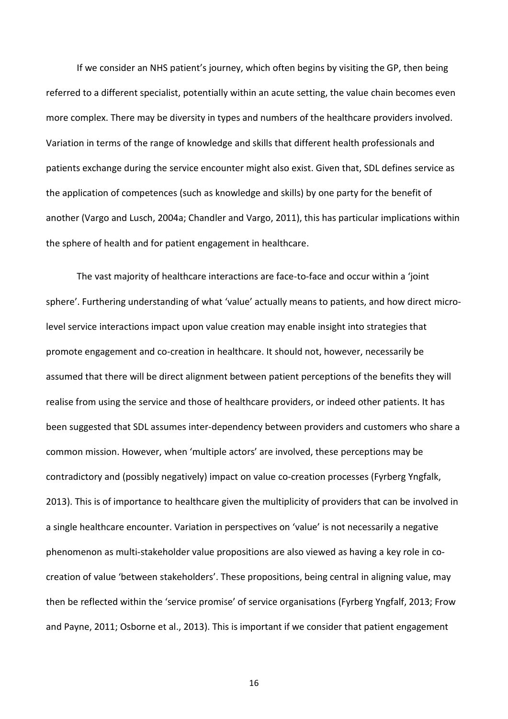If we consider an NHS patient's journey, which often begins by visiting the GP, then being referred to a different specialist, potentially within an acute setting, the value chain becomes even more complex. There may be diversity in types and numbers of the healthcare providers involved. Variation in terms of the range of knowledge and skills that different health professionals and patients exchange during the service encounter might also exist. Given that, SDL defines service as the application of competences (such as knowledge and skills) by one party for the benefit of another (Vargo and Lusch, 2004a; Chandler and Vargo, 2011), this has particular implications within the sphere of health and for patient engagement in healthcare.

The vast majority of healthcare interactions are face-to-face and occur within a 'joint sphere'. Furthering understanding of what 'value' actually means to patients, and how direct microlevel service interactions impact upon value creation may enable insight into strategies that promote engagement and co-creation in healthcare. It should not, however, necessarily be assumed that there will be direct alignment between patient perceptions of the benefits they will realise from using the service and those of healthcare providers, or indeed other patients. It has been suggested that SDL assumes inter-dependency between providers and customers who share a common mission. However, when 'multiple actors' are involved, these perceptions may be contradictory and (possibly negatively) impact on value co-creation processes (Fyrberg Yngfalk, 2013). This is of importance to healthcare given the multiplicity of providers that can be involved in a single healthcare encounter. Variation in perspectives on 'value' is not necessarily a negative phenomenon as multi-stakeholder value propositions are also viewed as having a key role in cocreation of value 'between stakeholders'. These propositions, being central in aligning value, may then be reflected within the 'service promise' of service organisations (Fyrberg Yngfalf, 2013; Frow and Payne, 2011; Osborne et al., 2013). This is important if we consider that patient engagement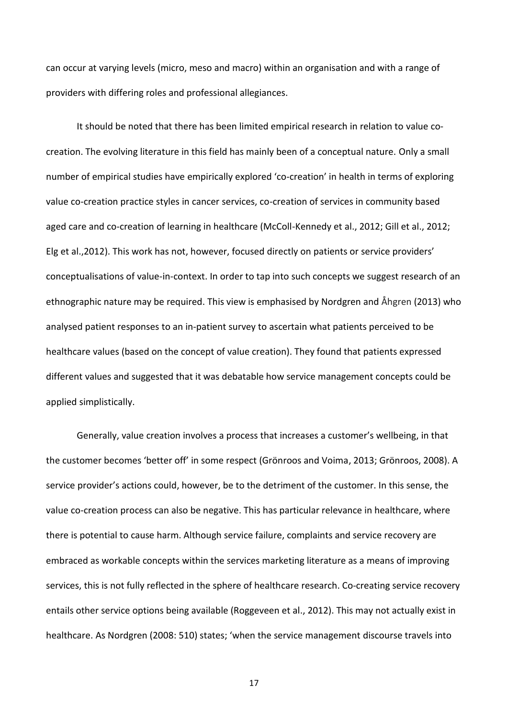can occur at varying levels (micro, meso and macro) within an organisation and with a range of providers with differing roles and professional allegiances.

It should be noted that there has been limited empirical research in relation to value cocreation. The evolving literature in this field has mainly been of a conceptual nature. Only a small number of empirical studies have empirically explored 'co-creation' in health in terms of exploring value co-creation practice styles in cancer services, co-creation of services in community based aged care and co-creation of learning in healthcare (McColl-Kennedy et al., 2012; Gill et al., 2012; Elg et al.,2012). This work has not, however, focused directly on patients or service providers' conceptualisations of value-in-context. In order to tap into such concepts we suggest research of an ethnographic nature may be required. This view is emphasised by Nordgren and Åhgren (2013) who analysed patient responses to an in-patient survey to ascertain what patients perceived to be healthcare values (based on the concept of value creation). They found that patients expressed different values and suggested that it was debatable how service management concepts could be applied simplistically.

Generally, value creation involves a process that increases a customer's wellbeing, in that the customer becomes 'better off' in some respect (Grönroos and Voima, 2013; Grönroos, 2008). A service provider's actions could, however, be to the detriment of the customer. In this sense, the value co-creation process can also be negative. This has particular relevance in healthcare, where there is potential to cause harm. Although service failure, complaints and service recovery are embraced as workable concepts within the services marketing literature as a means of improving services, this is not fully reflected in the sphere of healthcare research. Co-creating service recovery entails other service options being available (Roggeveen et al., 2012). This may not actually exist in healthcare. As Nordgren (2008: 510) states; 'when the service management discourse travels into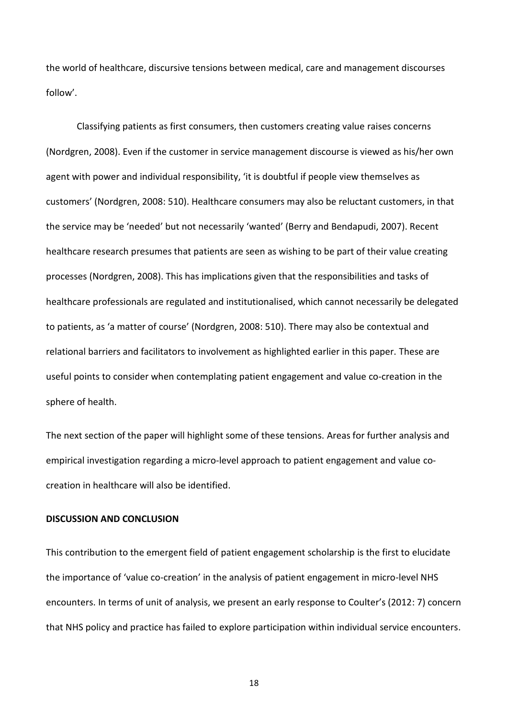the world of healthcare, discursive tensions between medical, care and management discourses follow'.

Classifying patients as first consumers, then customers creating value raises concerns (Nordgren, 2008). Even if the customer in service management discourse is viewed as his/her own agent with power and individual responsibility, 'it is doubtful if people view themselves as customers' (Nordgren, 2008: 510). Healthcare consumers may also be reluctant customers, in that the service may be 'needed' but not necessarily 'wanted' (Berry and Bendapudi, 2007). Recent healthcare research presumes that patients are seen as wishing to be part of their value creating processes (Nordgren, 2008). This has implications given that the responsibilities and tasks of healthcare professionals are regulated and institutionalised, which cannot necessarily be delegated to patients, as 'a matter of course' (Nordgren, 2008: 510). There may also be contextual and relational barriers and facilitators to involvement as highlighted earlier in this paper. These are useful points to consider when contemplating patient engagement and value co-creation in the sphere of health.

The next section of the paper will highlight some of these tensions. Areas for further analysis and empirical investigation regarding a micro-level approach to patient engagement and value cocreation in healthcare will also be identified.

## **DISCUSSION AND CONCLUSION**

This contribution to the emergent field of patient engagement scholarship is the first to elucidate the importance of 'value co-creation' in the analysis of patient engagement in micro-level NHS encounters. In terms of unit of analysis, we present an early response to Coulter's (2012: 7) concern that NHS policy and practice has failed to explore participation within individual service encounters.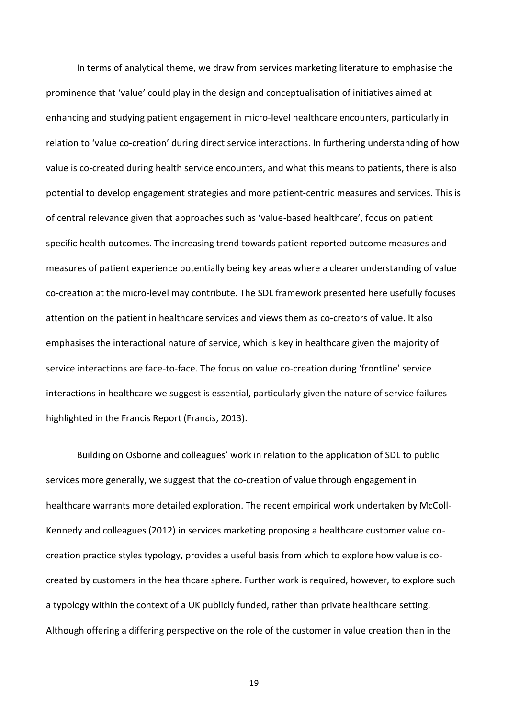In terms of analytical theme, we draw from services marketing literature to emphasise the prominence that 'value' could play in the design and conceptualisation of initiatives aimed at enhancing and studying patient engagement in micro-level healthcare encounters, particularly in relation to 'value co-creation' during direct service interactions. In furthering understanding of how value is co-created during health service encounters, and what this means to patients, there is also potential to develop engagement strategies and more patient-centric measures and services. This is of central relevance given that approaches such as 'value-based healthcare', focus on patient specific health outcomes. The increasing trend towards patient reported outcome measures and measures of patient experience potentially being key areas where a clearer understanding of value co-creation at the micro-level may contribute. The SDL framework presented here usefully focuses attention on the patient in healthcare services and views them as co-creators of value. It also emphasises the interactional nature of service, which is key in healthcare given the majority of service interactions are face-to-face. The focus on value co-creation during 'frontline' service interactions in healthcare we suggest is essential, particularly given the nature of service failures highlighted in the Francis Report (Francis, 2013).

Building on Osborne and colleagues' work in relation to the application of SDL to public services more generally, we suggest that the co-creation of value through engagement in healthcare warrants more detailed exploration. The recent empirical work undertaken by McColl-Kennedy and colleagues (2012) in services marketing proposing a healthcare customer value cocreation practice styles typology, provides a useful basis from which to explore how value is cocreated by customers in the healthcare sphere. Further work is required, however, to explore such a typology within the context of a UK publicly funded, rather than private healthcare setting. Although offering a differing perspective on the role of the customer in value creation than in the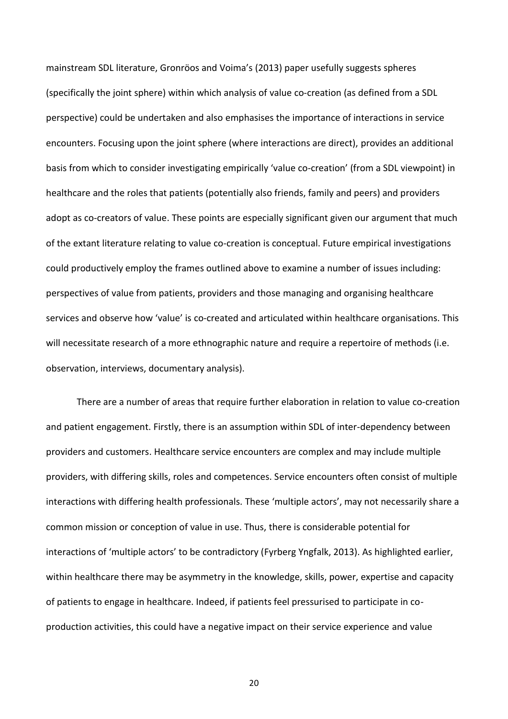mainstream SDL literature, Gronröos and Voima's (2013) paper usefully suggests spheres (specifically the joint sphere) within which analysis of value co-creation (as defined from a SDL perspective) could be undertaken and also emphasises the importance of interactions in service encounters. Focusing upon the joint sphere (where interactions are direct), provides an additional basis from which to consider investigating empirically 'value co-creation' (from a SDL viewpoint) in healthcare and the roles that patients (potentially also friends, family and peers) and providers adopt as co-creators of value. These points are especially significant given our argument that much of the extant literature relating to value co-creation is conceptual. Future empirical investigations could productively employ the frames outlined above to examine a number of issues including: perspectives of value from patients, providers and those managing and organising healthcare services and observe how 'value' is co-created and articulated within healthcare organisations. This will necessitate research of a more ethnographic nature and require a repertoire of methods (i.e. observation, interviews, documentary analysis).

There are a number of areas that require further elaboration in relation to value co-creation and patient engagement. Firstly, there is an assumption within SDL of inter-dependency between providers and customers. Healthcare service encounters are complex and may include multiple providers, with differing skills, roles and competences. Service encounters often consist of multiple interactions with differing health professionals. These 'multiple actors', may not necessarily share a common mission or conception of value in use. Thus, there is considerable potential for interactions of 'multiple actors' to be contradictory (Fyrberg Yngfalk, 2013). As highlighted earlier, within healthcare there may be asymmetry in the knowledge, skills, power, expertise and capacity of patients to engage in healthcare. Indeed, if patients feel pressurised to participate in coproduction activities, this could have a negative impact on their service experience and value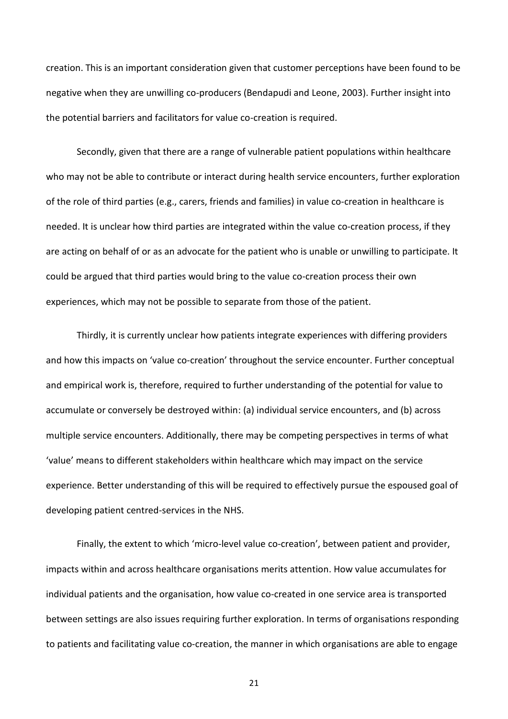creation. This is an important consideration given that customer perceptions have been found to be negative when they are unwilling co-producers (Bendapudi and Leone, 2003). Further insight into the potential barriers and facilitators for value co-creation is required.

Secondly, given that there are a range of vulnerable patient populations within healthcare who may not be able to contribute or interact during health service encounters, further exploration of the role of third parties (e.g., carers, friends and families) in value co-creation in healthcare is needed. It is unclear how third parties are integrated within the value co-creation process, if they are acting on behalf of or as an advocate for the patient who is unable or unwilling to participate. It could be argued that third parties would bring to the value co-creation process their own experiences, which may not be possible to separate from those of the patient.

Thirdly, it is currently unclear how patients integrate experiences with differing providers and how this impacts on 'value co-creation' throughout the service encounter. Further conceptual and empirical work is, therefore, required to further understanding of the potential for value to accumulate or conversely be destroyed within: (a) individual service encounters, and (b) across multiple service encounters. Additionally, there may be competing perspectives in terms of what 'value' means to different stakeholders within healthcare which may impact on the service experience. Better understanding of this will be required to effectively pursue the espoused goal of developing patient centred-services in the NHS.

Finally, the extent to which 'micro-level value co-creation', between patient and provider, impacts within and across healthcare organisations merits attention. How value accumulates for individual patients and the organisation, how value co-created in one service area is transported between settings are also issues requiring further exploration. In terms of organisations responding to patients and facilitating value co-creation, the manner in which organisations are able to engage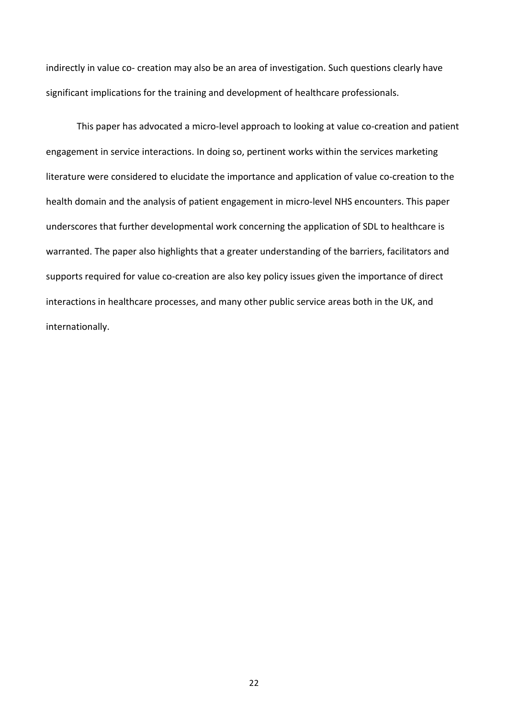indirectly in value co- creation may also be an area of investigation. Such questions clearly have significant implications for the training and development of healthcare professionals.

This paper has advocated a micro-level approach to looking at value co-creation and patient engagement in service interactions. In doing so, pertinent works within the services marketing literature were considered to elucidate the importance and application of value co-creation to the health domain and the analysis of patient engagement in micro-level NHS encounters. This paper underscores that further developmental work concerning the application of SDL to healthcare is warranted. The paper also highlights that a greater understanding of the barriers, facilitators and supports required for value co-creation are also key policy issues given the importance of direct interactions in healthcare processes, and many other public service areas both in the UK, and internationally.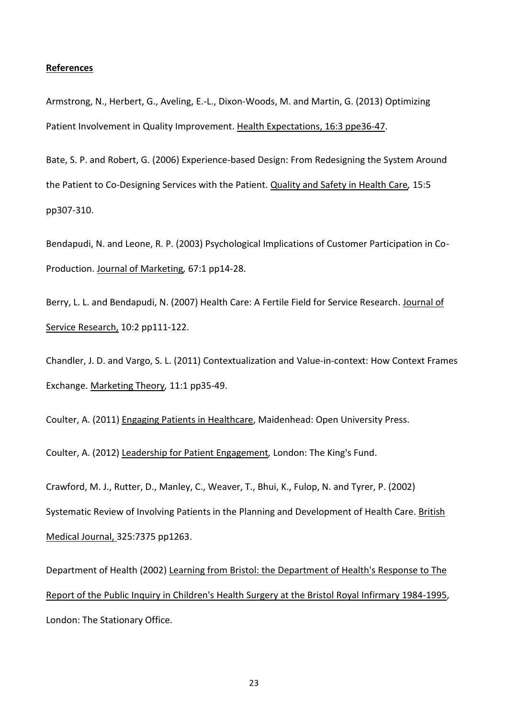#### **References**

Armstrong, N., Herbert, G., Aveling, E.-L., Dixon-Woods, M. and Martin, G. (2013) Optimizing Patient Involvement in Quality Improvement. Health Expectations, 16:3 ppe36-47.

Bate, S. P. and Robert, G. (2006) Experience-based Design: From Redesigning the System Around the Patient to Co-Designing Services with the Patient. Quality and Safety in Health Care*,* 15:5 pp307-310.

Bendapudi, N. and Leone, R. P. (2003) Psychological Implications of Customer Participation in Co-Production. Journal of Marketing*,* 67:1 pp14-28.

Berry, L. L. and Bendapudi, N. (2007) Health Care: A Fertile Field for Service Research. Journal of Service Research, 10:2 pp111-122.

Chandler, J. D. and Vargo, S. L. (2011) Contextualization and Value-in-context: How Context Frames Exchange. Marketing Theory*,* 11:1 pp35-49.

Coulter, A. (2011) Engaging Patients in Healthcare, Maidenhead: Open University Press.

Coulter, A. (2012) Leadership for Patient Engagement*,* London: The King's Fund.

Crawford, M. J., Rutter, D., Manley, C., Weaver, T., Bhui, K., Fulop, N. and Tyrer, P. (2002) Systematic Review of Involving Patients in the Planning and Development of Health Care. British Medical Journal, 325:7375 pp1263.

Department of Health (2002) Learning from Bristol: the Department of Health's Response to The Report of the Public Inquiry in Children's Health Surgery at the Bristol Royal Infirmary 1984-1995, London: The Stationary Office.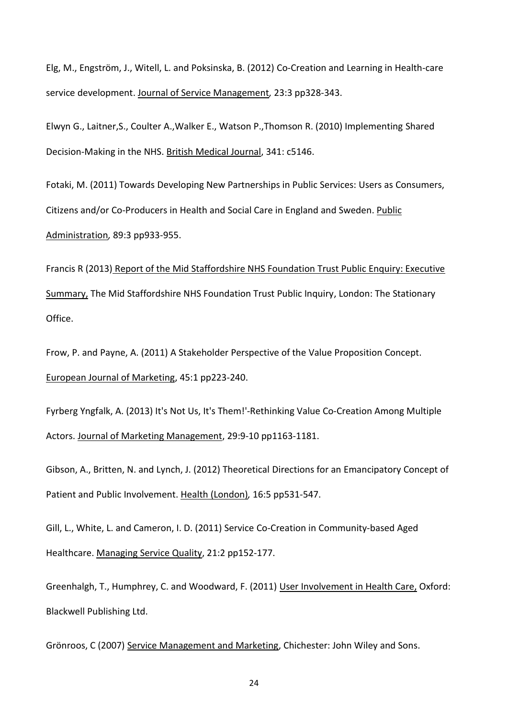Elg, M., Engström, J., Witell, L. and Poksinska, B. (2012) Co-Creation and Learning in Health-care service development. Journal of Service Management*,* 23:3 pp328-343.

Elwyn G., Laitner,S., Coulter A.,Walker E., Watson P.,Thomson R. (2010) Implementing Shared Decision-Making in the NHS. British Medical Journal, 341: c5146.

Fotaki, M. (2011) Towards Developing New Partnerships in Public Services: Users as Consumers, Citizens and/or Co-Producers in Health and Social Care in England and Sweden. Public Administration*,* 89:3 pp933-955.

Francis R (2013) Report of the Mid Staffordshire NHS Foundation Trust Public Enquiry: Executive Summary, The Mid Staffordshire NHS Foundation Trust Public Inquiry, London: The Stationary Office.

Frow, P. and Payne, A. (2011) A Stakeholder Perspective of the Value Proposition Concept. European Journal of Marketing, 45:1 pp223-240.

Fyrberg Yngfalk, A. (2013) It's Not Us, It's Them!'-Rethinking Value Co-Creation Among Multiple Actors. Journal of Marketing Management, 29:9-10 pp1163-1181.

Gibson, A., Britten, N. and Lynch, J. (2012) Theoretical Directions for an Emancipatory Concept of Patient and Public Involvement. Health (London)*,* 16:5 pp531-547.

Gill, L., White, L. and Cameron, I. D. (2011) Service Co-Creation in Community-based Aged Healthcare. Managing Service Quality, 21:2 pp152-177.

Greenhalgh, T., Humphrey, C. and Woodward, F. (2011) User Involvement in Health Care, Oxford: Blackwell Publishing Ltd.

Grönroos, C (2007) Service Management and Marketing, Chichester: John Wiley and Sons.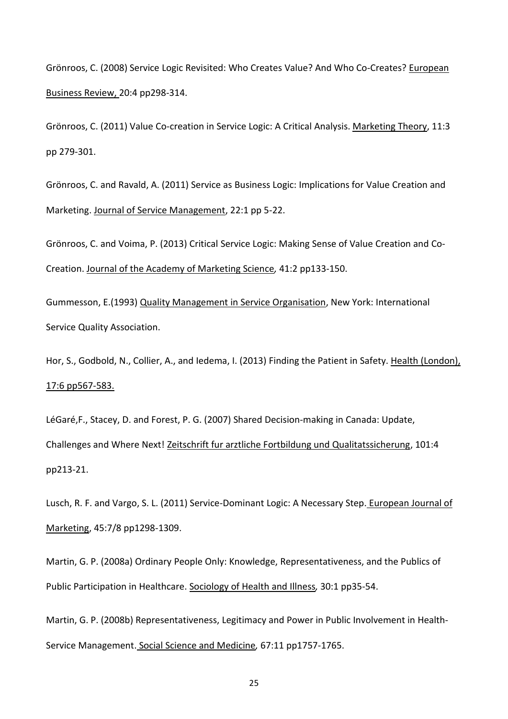Grönroos, C. (2008) Service Logic Revisited: Who Creates Value? And Who Co-Creates? European Business Review, 20:4 pp298-314.

Grönroos, C. (2011) Value Co-creation in Service Logic: A Critical Analysis. Marketing Theory, 11:3 pp 279-301.

Grönroos, C. and Ravald, A. (2011) Service as Business Logic: Implications for Value Creation and Marketing. Journal of Service Management, 22:1 pp 5-22.

Grönroos, C. and Voima, P. (2013) Critical Service Logic: Making Sense of Value Creation and Co-Creation. Journal of the Academy of Marketing Science*,* 41:2 pp133-150.

Gummesson, E.(1993) Quality Management in Service Organisation, New York: International Service Quality Association.

Hor, S., Godbold, N., Collier, A., and Iedema, I. (2013) Finding the Patient in Safety. Health (London), 17:6 pp567-583.

LéGaré,F., Stacey, D. and Forest, P. G. (2007) Shared Decision-making in Canada: Update, Challenges and Where Next! Zeitschrift fur arztliche Fortbildung und Qualitatssicherung, 101:4 pp213-21.

Lusch, R. F. and Vargo, S. L. (2011) Service-Dominant Logic: A Necessary Step. European Journal of Marketing, 45:7/8 pp1298-1309.

Martin, G. P. (2008a) Ordinary People Only: Knowledge, Representativeness, and the Publics of Public Participation in Healthcare. Sociology of Health and Illness*,* 30:1 pp35-54.

Martin, G. P. (2008b) Representativeness, Legitimacy and Power in Public Involvement in Health-Service Management. Social Science and Medicine*,* 67:11 pp1757-1765.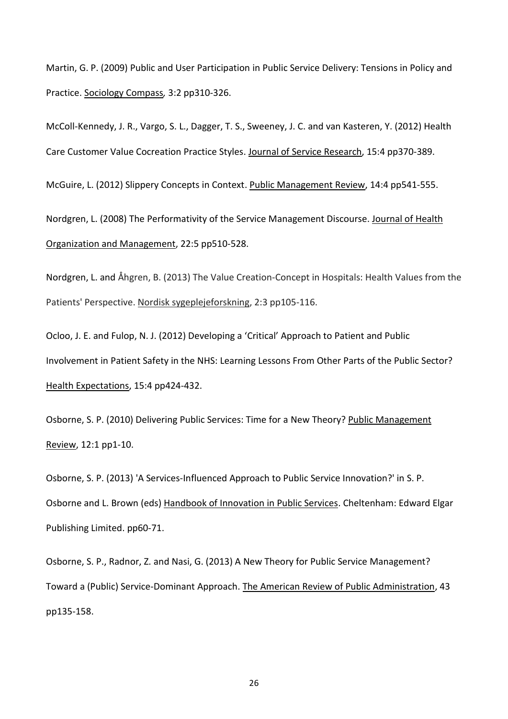Martin, G. P. (2009) Public and User Participation in Public Service Delivery: Tensions in Policy and Practice. Sociology Compass*,* 3:2 pp310-326.

McColl-Kennedy, J. R., Vargo, S. L., Dagger, T. S., Sweeney, J. C. and van Kasteren, Y. (2012) Health Care Customer Value Cocreation Practice Styles. Journal of Service Research, 15:4 pp370-389.

McGuire, L. (2012) Slippery Concepts in Context. Public Management Review, 14:4 pp541-555.

Nordgren, L. (2008) The Performativity of the Service Management Discourse. Journal of Health Organization and Management, 22:5 pp510-528.

Nordgren, L. and Åhgren, B. (2013) The Value Creation-Concept in Hospitals: Health Values from the Patients' Perspective. Nordisk sygeplejeforskning, 2:3 pp105-116.

Ocloo, J. E. and Fulop, N. J. (2012) Developing a 'Critical' Approach to Patient and Public Involvement in Patient Safety in the NHS: Learning Lessons From Other Parts of the Public Sector? Health Expectations, 15:4 pp424-432.

Osborne, S. P. (2010) Delivering Public Services: Time for a New Theory? Public Management Review, 12:1 pp1-10.

Osborne, S. P. (2013) 'A Services-Influenced Approach to Public Service Innovation?' in S. P. Osborne and L. Brown (eds) Handbook of Innovation in Public Services. Cheltenham: Edward Elgar Publishing Limited. pp60-71.

Osborne, S. P., Radnor, Z. and Nasi, G. (2013) A New Theory for Public Service Management? Toward a (Public) Service-Dominant Approach. The American Review of Public Administration, 43 pp135-158.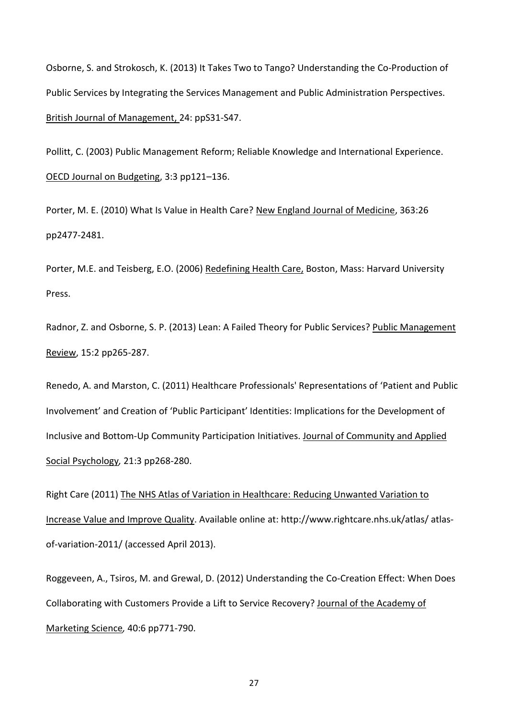Osborne, S. and Strokosch, K. (2013) It Takes Two to Tango? Understanding the Co-Production of Public Services by Integrating the Services Management and Public Administration Perspectives. British Journal of Management, 24: ppS31-S47.

Pollitt, C. (2003) Public Management Reform; Reliable Knowledge and International Experience. OECD Journal on Budgeting, 3:3 pp121–136.

Porter, M. E. (2010) What Is Value in Health Care? New England Journal of Medicine, 363:26 pp2477-2481.

Porter, M.E. and Teisberg, E.O. (2006) Redefining Health Care, Boston, Mass: Harvard University Press.

Radnor, Z. and Osborne, S. P. (2013) Lean: A Failed Theory for Public Services? Public Management Review, 15:2 pp265-287.

Renedo, A. and Marston, C. (2011) Healthcare Professionals' Representations of 'Patient and Public Involvement' and Creation of 'Public Participant' Identities: Implications for the Development of Inclusive and Bottom-Up Community Participation Initiatives. Journal of Community and Applied Social Psychology*,* 21:3 pp268-280.

Right Care (2011) The NHS Atlas of Variation in Healthcare: Reducing Unwanted Variation to Increase Value and Improve Quality. Available online at: http://www.rightcare.nhs.uk/atlas/ atlasof-variation-2011/ (accessed April 2013).

Roggeveen, A., Tsiros, M. and Grewal, D. (2012) Understanding the Co-Creation Effect: When Does Collaborating with Customers Provide a Lift to Service Recovery? Journal of the Academy of Marketing Science*,* 40:6 pp771-790.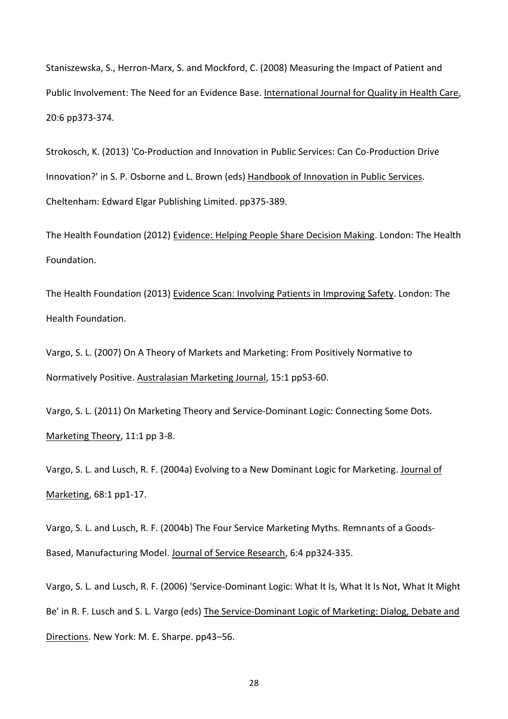Staniszewska, S., Herron-Marx, S. and Mockford, C. (2008) Measuring the Impact of Patient and Public Involvement: The Need for an Evidence Base. International Journal for Quality in Health Care, 20:6 pp373-374.

Strokosch, K. (2013) 'Co-Production and Innovation in Public Services: Can Co-Production Drive Innovation?' in S. P. Osborne and L. Brown (eds) Handbook of Innovation in Public Services. Cheltenham: Edward Elgar Publishing Limited. pp375-389.

The Health Foundation (2012) Evidence: Helping People Share Decision Making. London: The Health Foundation.

The Health Foundation (2013) Evidence Scan: Involving Patients in Improving Safety. London: The Health Foundation.

Vargo, S. L. (2007) On A Theory of Markets and Marketing: From Positively Normative to Normatively Positive. Australasian Marketing Journal, 15:1 pp53-60.

Vargo, S. L. (2011) On Marketing Theory and Service-Dominant Logic: Connecting Some Dots. Marketing Theory, 11:1 pp 3-8.

Vargo, S. L. and Lusch, R. F. (2004a) Evolving to a New Dominant Logic for Marketing. Journal of Marketing, 68:1 pp1-17.

Vargo, S. L. and Lusch, R. F. (2004b) The Four Service Marketing Myths. Remnants of a Goods-Based, Manufacturing Model. Journal of Service Research, 6:4 pp324-335.

Vargo, S. L. and Lusch, R. F. (2006) 'Service-Dominant Logic: What It Is, What It Is Not, What It Might Be' in R. F. Lusch and S. L. Vargo (eds) The Service-Dominant Logic of Marketing: Dialog, Debate and Directions. New York: M. E. Sharpe. pp43–56.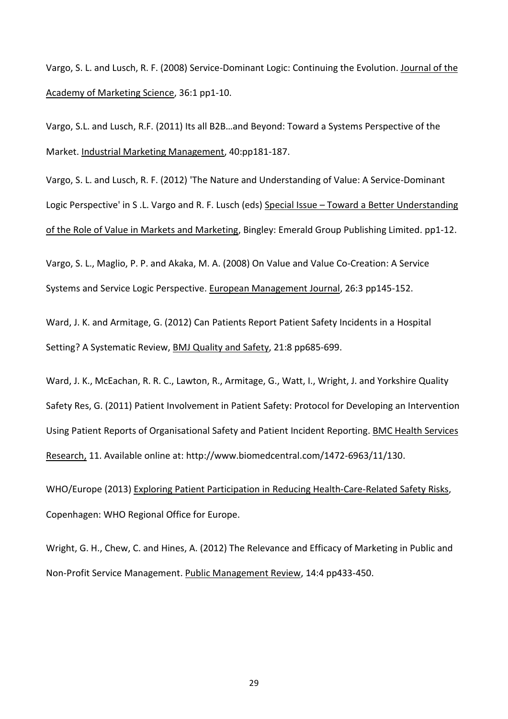Vargo, S. L. and Lusch, R. F. (2008) Service-Dominant Logic: Continuing the Evolution. Journal of the Academy of Marketing Science, 36:1 pp1-10.

Vargo, S.L. and Lusch, R.F. (2011) Its all B2B…and Beyond: Toward a Systems Perspective of the Market. Industrial Marketing Management, 40:pp181-187.

Vargo, S. L. and Lusch, R. F. (2012) 'The Nature and Understanding of Value: A Service-Dominant Logic Perspective' in S .L. Vargo and R. F. Lusch (eds) Special Issue – Toward a Better Understanding of the Role of Value in Markets and Marketing, Bingley: Emerald Group Publishing Limited. pp1-12.

Vargo, S. L., Maglio, P. P. and Akaka, M. A. (2008) On Value and Value Co-Creation: A Service Systems and Service Logic Perspective. European Management Journal, 26:3 pp145-152.

Ward, J. K. and Armitage, G. (2012) Can Patients Report Patient Safety Incidents in a Hospital Setting? A Systematic Review, BMJ Quality and Safety, 21:8 pp685-699.

Ward, J. K., McEachan, R. R. C., Lawton, R., Armitage, G., Watt, I., Wright, J. and Yorkshire Quality Safety Res, G. (2011) Patient Involvement in Patient Safety: Protocol for Developing an Intervention Using Patient Reports of Organisational Safety and Patient Incident Reporting. BMC Health Services Research, 11. Available online at: http://www.biomedcentral.com/1472-6963/11/130.

WHO/Europe (2013) Exploring Patient Participation in Reducing Health-Care-Related Safety Risks, Copenhagen: WHO Regional Office for Europe.

Wright, G. H., Chew, C. and Hines, A. (2012) The Relevance and Efficacy of Marketing in Public and Non-Profit Service Management. Public Management Review, 14:4 pp433-450.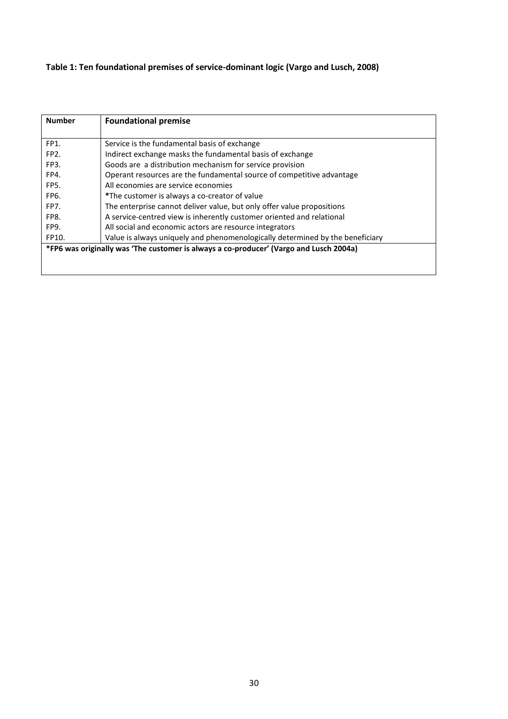## **Table 1: Ten foundational premises of service-dominant logic (Vargo and Lusch, 2008)**

| <b>Number</b>                                                                          | <b>Foundational premise</b>                                                   |
|----------------------------------------------------------------------------------------|-------------------------------------------------------------------------------|
|                                                                                        |                                                                               |
| FP1.                                                                                   | Service is the fundamental basis of exchange                                  |
| FP <sub>2</sub> .                                                                      | Indirect exchange masks the fundamental basis of exchange                     |
| FP3.                                                                                   | Goods are a distribution mechanism for service provision                      |
| FP4.                                                                                   | Operant resources are the fundamental source of competitive advantage         |
| FP <sub>5</sub> .                                                                      | All economies are service economies                                           |
| FP6.                                                                                   | *The customer is always a co-creator of value                                 |
| FP7.                                                                                   | The enterprise cannot deliver value, but only offer value propositions        |
| FP8.                                                                                   | A service-centred view is inherently customer oriented and relational         |
| FP9.                                                                                   | All social and economic actors are resource integrators                       |
| FP10.                                                                                  | Value is always uniquely and phenomenologically determined by the beneficiary |
| *FP6 was originally was 'The customer is always a co-producer' (Vargo and Lusch 2004a) |                                                                               |
|                                                                                        |                                                                               |
|                                                                                        |                                                                               |